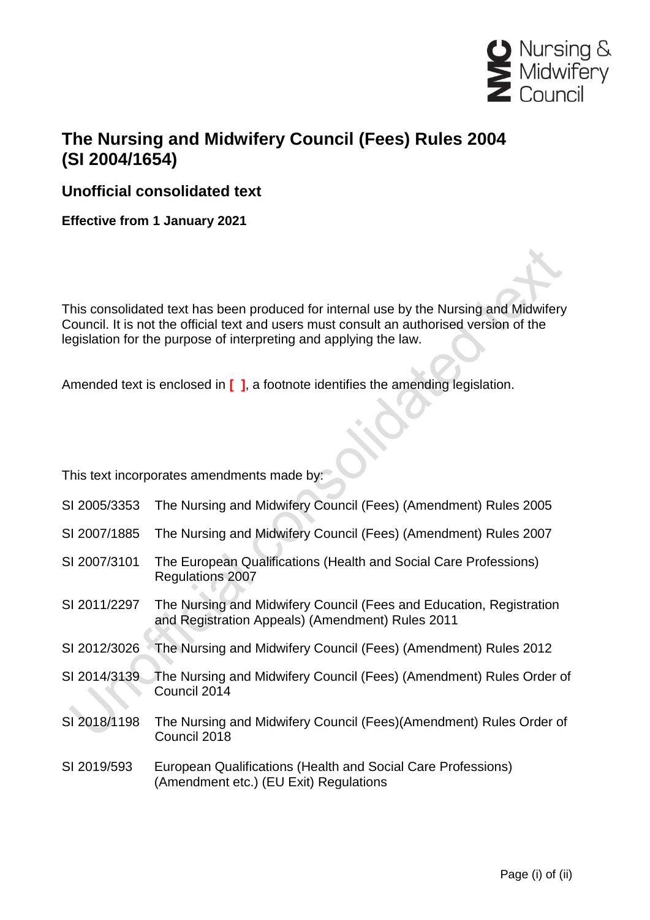

## **The Nursing and Midwifery Council (Fees) Rules 2004 (SI 2004/1654)**

**Unofficial consolidated text**

**Effective from 1 January 2021**

This consolidated text has been produced for internal use by the Nursing and Midwifery Council. It is not the official text and users must consult an authorised version of the legislation for the purpose of interpreting and applying the law.

Amended text is enclosed in **[ ]**, a footnote identifies the amending legislation.

This text incorporates amendments made by:

- SI 2005/3353 The Nursing and Midwifery Council (Fees) (Amendment) Rules 2005
- SI 2007/1885 The Nursing and Midwifery Council (Fees) (Amendment) Rules 2007
- SI 2007/3101 The European Qualifications (Health and Social Care Professions) Regulations 2007
- SI 2011/2297 The Nursing and Midwifery Council (Fees and Education, Registration and Registration Appeals) (Amendment) Rules 2011
- SI 2012/3026 The Nursing and Midwifery Council (Fees) (Amendment) Rules 2012
- SI 2014/3139 The Nursing and Midwifery Council (Fees) (Amendment) Rules Order of Council 2014
- SI 2018/1198 The Nursing and Midwifery Council (Fees)(Amendment) Rules Order of Council 2018
- SI 2019/593 European Qualifications (Health and Social Care Professions) (Amendment etc.) (EU Exit) Regulations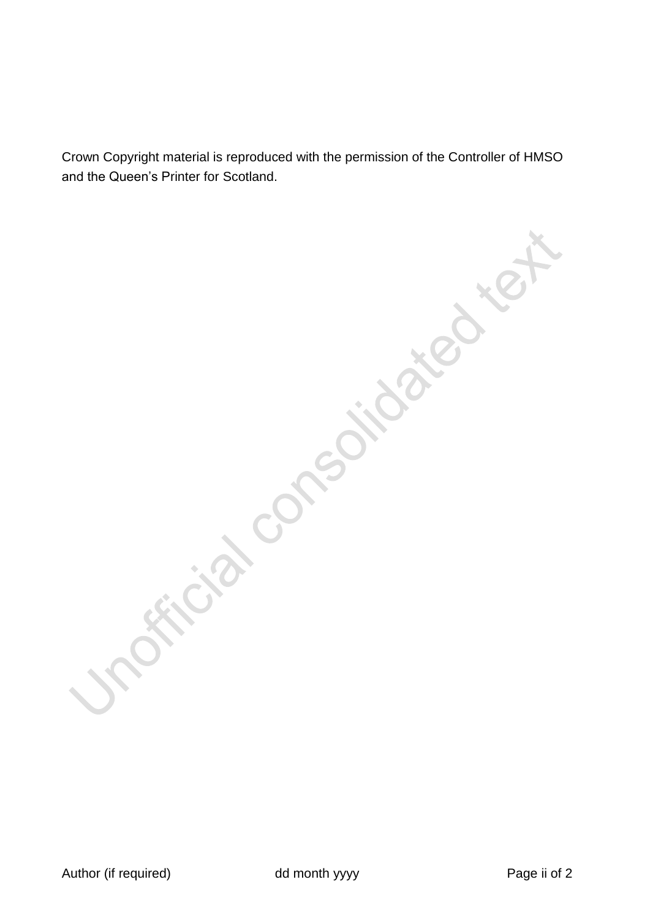Crown Copyright material is reproduced with the permission of the Controller of HMSO and the Queen's Printer for Scotland.

is consolidated text

Author (if required) and month yyyy example and month yyyy example and the Page ii of 2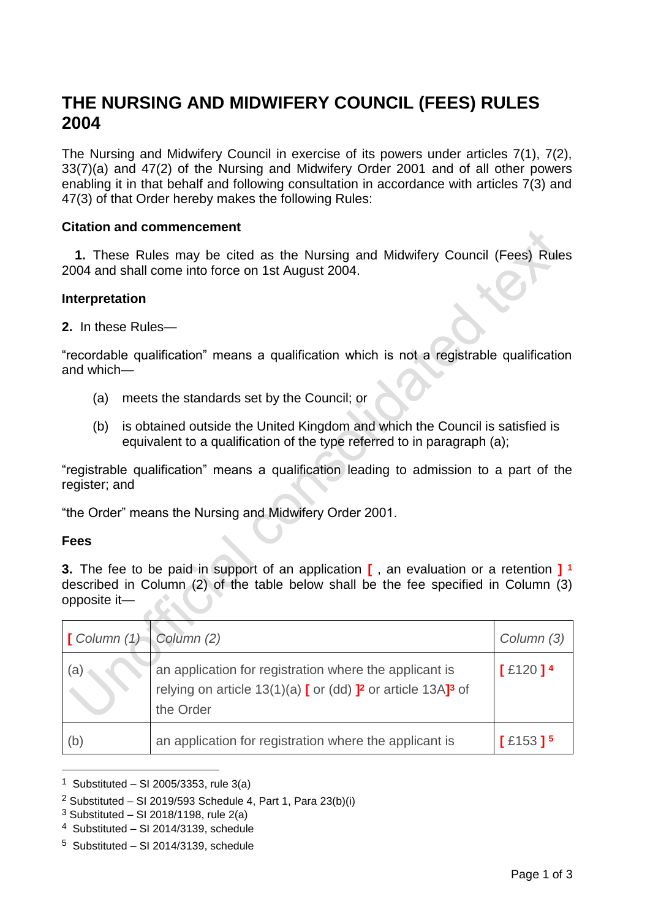# **THE NURSING AND MIDWIFERY COUNCIL (FEES) RULES 2004**

The Nursing and Midwifery Council in exercise of its powers under articles 7(1), 7(2), 33(7)(a) and 47(2) of the Nursing and Midwifery Order 2001 and of all other powers enabling it in that behalf and following consultation in accordance with articles 7(3) and 47(3) of that Order hereby makes the following Rules:

#### **Citation and commencement**

**1.** These Rules may be cited as the Nursing and Midwifery Council (Fees) Rules 2004 and shall come into force on 1st August 2004.

#### **Interpretation**

**2.** In these Rules—

"recordable qualification" means a qualification which is not a registrable qualification and which—

- (a) meets the standards set by the Council; or
- (b) is obtained outside the United Kingdom and which the Council is satisfied is equivalent to a qualification of the type referred to in paragraph (a);

"registrable qualification" means a qualification leading to admission to a part of the register; and

"the Order" means the Nursing and Midwifery Order 2001.

#### **Fees**

1

**3.** The fee to be paid in support of an application **[** , an evaluation or a retention **] 1** described in Column (2) of the table below shall be the fee specified in Column (3) opposite it—

| $\Box$ Column (1) Column (2) |                                                                                                                                                                  | Column (3)            |
|------------------------------|------------------------------------------------------------------------------------------------------------------------------------------------------------------|-----------------------|
| (a)                          | an application for registration where the applicant is<br>relying on article $13(1)(a)$ [ or (dd) ] <sup>2</sup> or article $13A$ ] <sup>3</sup> of<br>the Order | $[£120]$ <sup>4</sup> |
| (b)                          | an application for registration where the applicant is                                                                                                           | $[£153]$ <sup>5</sup> |

<sup>&</sup>lt;sup>1</sup> Substituted – SI 2005/3353, rule  $3(a)$ 

<sup>&</sup>lt;sup>2</sup> Substituted – SI 2019/593 Schedule 4, Part 1, Para 23(b)(i)

 $3$  Substituted – SI 2018/1198, rule 2(a)

<sup>4</sup> Substituted – SI 2014/3139, schedule

<sup>5</sup> Substituted – SI 2014/3139, schedule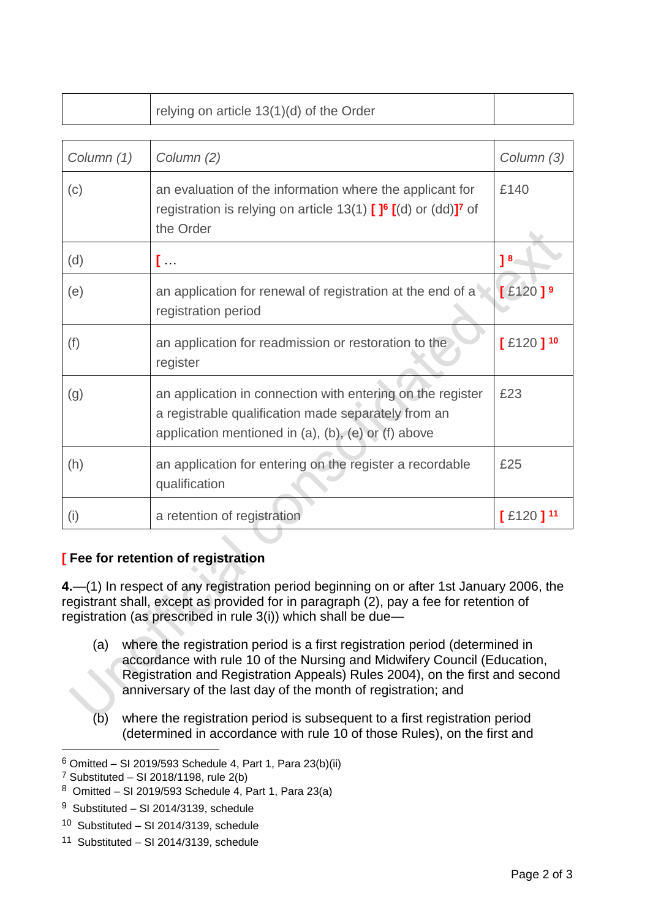|            | relying on article 13(1)(d) of the Order                                                                                                                                           |                        |
|------------|------------------------------------------------------------------------------------------------------------------------------------------------------------------------------------|------------------------|
|            |                                                                                                                                                                                    |                        |
| Column (1) | Column (2)                                                                                                                                                                         | Column (3)             |
| (c)        | an evaluation of the information where the applicant for<br>registration is relying on article 13(1) $[ ]^6 [ (d)$ or $(dd) ]^7$ of<br>the Order                                   | £140                   |
| (d)        | […                                                                                                                                                                                 | 1 <sup>8</sup>         |
| (e)        | an application for renewal of registration at the end of a<br>registration period                                                                                                  | $[£120]$ <sup>9</sup>  |
| (f)        | an application for readmission or restoration to the<br>register                                                                                                                   | $[£120]^{10}$          |
| (g)        | an application in connection with entering on the register<br>a registrable qualification made separately from an<br>application mentioned in $(a)$ , $(b)$ , $(e)$ or $(f)$ above | £23                    |
| (h)        | an application for entering on the register a recordable<br>qualification                                                                                                          | £25                    |
| (i)        | a retention of registration                                                                                                                                                        | $[£120]$ <sup>11</sup> |

### **[ Fee for retention of registration**

**4.**—(1) In respect of any registration period beginning on or after 1st January 2006, the registrant shall, except as provided for in paragraph (2), pay a fee for retention of registration (as prescribed in rule 3(i)) which shall be due—

- (a) where the registration period is a first registration period (determined in accordance with rule 10 of the Nursing and Midwifery Council (Education, Registration and Registration Appeals) Rules 2004), on the first and second anniversary of the last day of the month of registration; and
- (b) where the registration period is subsequent to a first registration period (determined in accordance with rule 10 of those Rules), on the first and

1

 $6$  Omitted – SI 2019/593 Schedule 4, Part 1, Para 23(b)(ii)

 $7$  Substituted - SI 2018/1198, rule 2(b)

 $8$  Omitted – SI 2019/593 Schedule 4, Part 1, Para 23(a)

<sup>&</sup>lt;sup>9</sup> Substituted – SI 2014/3139, schedule

<sup>10</sup> Substituted – SI 2014/3139, schedule

<sup>11</sup> Substituted – SI 2014/3139, schedule